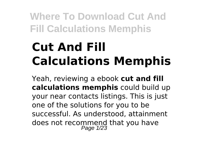# **Cut And Fill Calculations Memphis**

Yeah, reviewing a ebook **cut and fill calculations memphis** could build up your near contacts listings. This is just one of the solutions for you to be successful. As understood, attainment does not recommend that you have<br>Page 1/23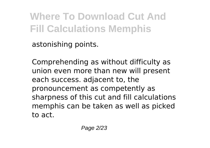astonishing points.

Comprehending as without difficulty as union even more than new will present each success. adjacent to, the pronouncement as competently as sharpness of this cut and fill calculations memphis can be taken as well as picked to act.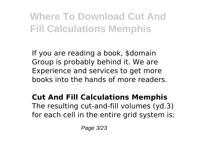If you are reading a book, \$domain Group is probably behind it. We are Experience and services to get more books into the hands of more readers.

#### **Cut And Fill Calculations Memphis** The resulting cut-and-fill volumes (yd.3) for each cell in the entire grid system is: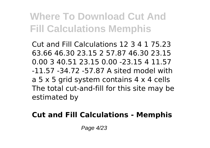Cut and Fill Calculations 12 3 4 1 75.23 63.66 46.30 23.15 2 57.87 46.30 23.15 0.00 3 40.51 23.15 0.00 -23.15 4 11.57 -11.57 -34.72 -57.87 A sited model with a 5 x 5 grid system contains 4 x 4 cells The total cut-and-fill for this site may be estimated by

### **Cut and Fill Calculations - Memphis**

Page 4/23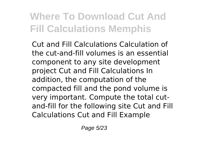Cut and Fill Calculations Calculation of the cut-and-fill volumes is an essential component to any site development project Cut and Fill Calculations In addition, the computation of the compacted fill and the pond volume is very important. Compute the total cutand-fill for the following site Cut and Fill Calculations Cut and Fill Example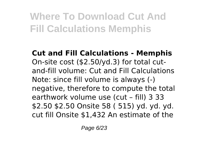**Cut and Fill Calculations - Memphis** On-site cost (\$2.50/yd.3) for total cutand-fill volume: Cut and Fill Calculations Note: since fill volume is always (-) negative, therefore to compute the total earthwork volume use (cut – fill) 3 33 \$2.50 \$2.50 Onsite 58 ( 515) yd. yd. yd. cut fill Onsite \$1,432 An estimate of the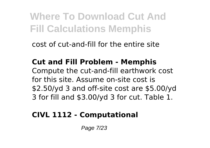cost of cut-and-fill for the entire site

#### **Cut and Fill Problem - Memphis** Compute the cut-and-fill earthwork cost

for this site. Assume on-site cost is \$2.50/yd 3 and off-site cost are \$5.00/yd 3 for fill and \$3.00/yd 3 for cut. Table 1.

## **CIVL 1112 - Computational**

Page 7/23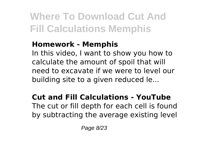### **Homework - Memphis**

In this video, I want to show you how to calculate the amount of spoil that will need to excavate if we were to level our building site to a given reduced le...

### **Cut and Fill Calculations - YouTube** The cut or fill depth for each cell is found by subtracting the average existing level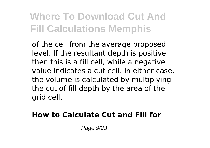of the cell from the average proposed level. If the resultant depth is positive then this is a fill cell, while a negative value indicates a cut cell. In either case, the volume is calculated by multiplying the cut of fill depth by the area of the grid cell.

### **How to Calculate Cut and Fill for**

Page 9/23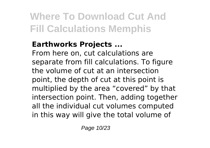### **Earthworks Projects ...**

From here on, cut calculations are separate from fill calculations. To figure the volume of cut at an intersection point, the depth of cut at this point is multiplied by the area "covered" by that intersection point. Then, adding together all the individual cut volumes computed in this way will give the total volume of

Page 10/23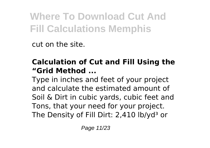cut on the site.

### **Calculation of Cut and Fill Using the "Grid Method ...**

Type in inches and feet of your project and calculate the estimated amount of Soil & Dirt in cubic yards, cubic feet and Tons, that your need for your project. The Density of Fill Dirt: 2,410 lb/yd<sup>3</sup> or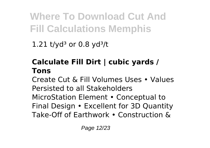1.21 t/yd<sup>3</sup> or 0.8 yd<sup>3</sup>/t

## **Calculate Fill Dirt | cubic yards / Tons**

Create Cut & Fill Volumes Uses • Values Persisted to all Stakeholders MicroStation Element • Conceptual to Final Design • Excellent for 3D Quantity Take-Off of Earthwork • Construction &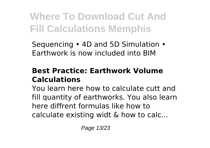Sequencing • 4D and 5D Simulation • Earthwork is now included into BIM

### **Best Practice: Earthwork Volume Calculations**

You learn here how to calculate cutt and fill quantity of earthworks. You also learn here diffrent formulas like how to calculate existing widt & how to calc...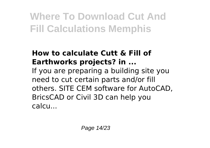### **How to calculate Cutt & Fill of Earthworks projects? in ...**

If you are preparing a building site you need to cut certain parts and/or fill others. SITE CEM software for AutoCAD, BricsCAD or Civil 3D can help you calcu...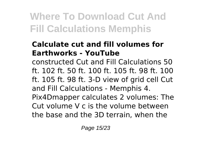### **Calculate cut and fill volumes for Earthworks - YouTube**

constructed Cut and Fill Calculations 50 ft. 102 ft. 50 ft. 100 ft. 105 ft. 98 ft. 100 ft. 105 ft. 98 ft. 3-D view of grid cell Cut and Fill Calculations - Memphis 4. Pix4Dmapper calculates 2 volumes: The

Cut volume V c is the volume between the base and the 3D terrain, when the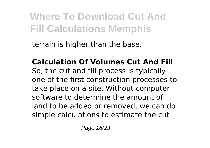terrain is higher than the base.

**Calculation Of Volumes Cut And Fill** So, the cut and fill process is typically one of the first construction processes to take place on a site. Without computer software to determine the amount of land to be added or removed, we can do simple calculations to estimate the cut

Page 16/23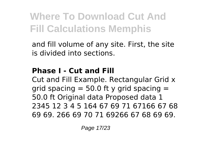and fill volume of any site. First, the site is divided into sections.

## **Phase I - Cut and Fill**

Cut and Fill Example. Rectangular Grid x grid spacing  $=$  50.0 ft y grid spacing  $=$ 50.0 ft Original data Proposed data 1 2345 12 3 4 5 164 67 69 71 67166 67 68 69 69. 266 69 70 71 69266 67 68 69 69.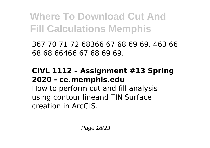367 70 71 72 68366 67 68 69 69. 463 66 68 68 66466 67 68 69 69.

### **CIVL 1112 – Assignment #13 Spring 2020 - ce.memphis.edu**

How to perform cut and fill analysis using contour lineand TIN Surface creation in ArcGIS.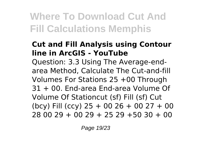### **Cut and Fill Analysis using Contour line in ArcGIS - YouTube**

Question: 3.3 Using The Average-endarea Method, Calculate The Cut-and-fill Volumes For Stations 25 +00 Through 31 + 00. End-area End-area Volume Of Volume Of Stationcut (sf) Fill (sf) Cut (bcy) Fill (ccy)  $25 + 0026 + 0027 + 00$ 28 00 29 + 00 29 + 25 29 +50 30 + 00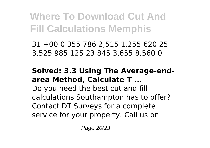31 +00 0 355 786 2,515 1,255 620 25 3,525 985 125 23 845 3,655 8,560 0

#### **Solved: 3.3 Using The Average-endarea Method, Calculate T ...**

Do you need the best cut and fill calculations Southampton has to offer? Contact DT Surveys for a complete service for your property. Call us on

Page 20/23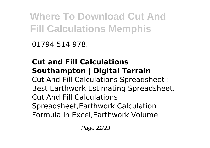01794 514 978.

### **Cut and Fill Calculations Southampton | Digital Terrain** Cut And Fill Calculations Spreadsheet : Best Earthwork Estimating Spreadsheet. Cut And Fill Calculations Spreadsheet,Earthwork Calculation Formula In Excel,Earthwork Volume

Page 21/23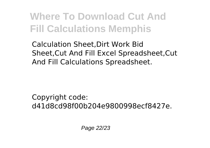Calculation Sheet,Dirt Work Bid Sheet,Cut And Fill Excel Spreadsheet,Cut And Fill Calculations Spreadsheet.

Copyright code: d41d8cd98f00b204e9800998ecf8427e.

Page 22/23